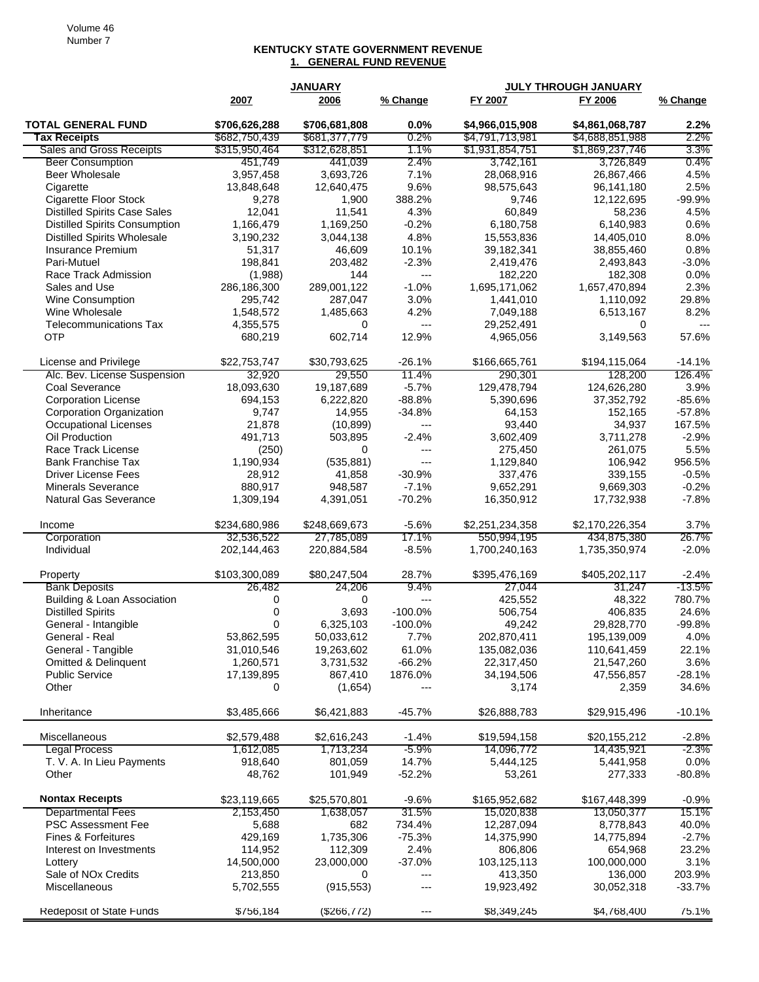## **KENTUCKY STATE GOVERNMENT REVENUE 1. GENERAL FUND REVENUE**

|                                        |               | <b>JANUARY</b> |                | <b>JULY THROUGH JANUARY</b> |                 |           |
|----------------------------------------|---------------|----------------|----------------|-----------------------------|-----------------|-----------|
|                                        | 2007          | 2006           | % Change       | FY 2007                     | FY 2006         | % Change  |
| <b>TOTAL GENERAL FUND</b>              | \$706,626,288 | \$706,681,808  | 0.0%           | \$4,966,015,908             | \$4,861,068,787 | 2.2%      |
| <b>Tax Receipts</b>                    | \$682,750,439 | \$681,377,779  | $0.2\%$        | \$4,791,713,981             | \$4,688,851,988 | 2.2%      |
| <b>Sales and Gross Receipts</b>        | \$315,950,464 | \$312,628,851  | 1.1%           | \$1,931,854,751             | \$1,869,237,746 | 3.3%      |
| <b>Beer Consumption</b>                | 451,749       | 441,039        | 2.4%           | 3,742,161                   | 3,726,849       | 0.4%      |
| Beer Wholesale                         | 3,957,458     | 3,693,726      | 7.1%           | 28,068,916                  | 26,867,466      | 4.5%      |
| Cigarette                              | 13,848,648    | 12,640,475     | 9.6%           | 98,575,643                  | 96,141,180      | 2.5%      |
| <b>Cigarette Floor Stock</b>           | 9,278         | 1,900          | 388.2%         | 9,746                       | 12,122,695      | $-99.9%$  |
| <b>Distilled Spirits Case Sales</b>    | 12,041        | 11,541         | 4.3%           | 60,849                      | 58,236          | 4.5%      |
| <b>Distilled Spirits Consumption</b>   | 1,166,479     | 1,169,250      | $-0.2%$        | 6,180,758                   | 6,140,983       | 0.6%      |
| <b>Distilled Spirits Wholesale</b>     | 3,190,232     | 3,044,138      | 4.8%           | 15,553,836                  | 14,405,010      | 8.0%      |
| <b>Insurance Premium</b>               | 51,317        | 46,609         | 10.1%          | 39,182,341                  | 38,855,460      | 0.8%      |
| Pari-Mutuel                            | 198,841       | 203,482        | $-2.3%$        | 2,419,476                   | 2,493,843       | $-3.0%$   |
| Race Track Admission                   | (1,988)       | 144            | ---            | 182,220                     | 182,308         | 0.0%      |
| Sales and Use                          | 286,186,300   | 289,001,122    | $-1.0%$        | 1,695,171,062               | 1,657,470,894   | 2.3%      |
| Wine Consumption                       | 295,742       | 287,047        | 3.0%           | 1,441,010                   | 1,110,092       | 29.8%     |
| Wine Wholesale                         | 1,548,572     | 1,485,663      | 4.2%           | 7,049,188                   | 6,513,167       | 8.2%      |
| <b>Telecommunications Tax</b>          | 4,355,575     | 0              | ---            | 29,252,491                  | 0               | $---$     |
| <b>OTP</b>                             | 680,219       | 602,714        | 12.9%          | 4,965,056                   | 3,149,563       | 57.6%     |
| License and Privilege                  | \$22,753,747  | \$30,793,625   | $-26.1%$       | \$166,665,761               | \$194,115,064   | $-14.1%$  |
| Alc. Bev. License Suspension           | 32,920        | 29,550         | 11.4%          | 290,301                     | 128,200         | 126.4%    |
| Coal Severance                         | 18,093,630    | 19,187,689     | $-5.7%$        | 129,478,794                 | 124,626,280     | 3.9%      |
| <b>Corporation License</b>             | 694,153       | 6,222,820      | $-88.8%$       | 5,390,696                   | 37,352,792      | $-85.6%$  |
| Corporation Organization               | 9,747         | 14,955         | $-34.8%$       | 64,153                      | 152,165         | $-57.8%$  |
| Occupational Licenses                  | 21,878        | (10, 899)      | ---            | 93,440                      | 34,937          | 167.5%    |
| Oil Production                         | 491,713       | 503,895        | $-2.4%$        | 3,602,409                   | 3,711,278       | $-2.9%$   |
| Race Track License                     | (250)         | 0              | ---            | 275,450                     | 261,075         | 5.5%      |
| <b>Bank Franchise Tax</b>              | 1,190,934     | (535, 881)     | ---            | 1,129,840                   | 106,942         | 956.5%    |
| <b>Driver License Fees</b>             | 28,912        | 41,858         | $-30.9%$       | 337,476                     | 339,155         | $-0.5%$   |
| <b>Minerals Severance</b>              | 880,917       | 948,587        | $-7.1%$        | 9,652,291                   | 9,669,303       | $-0.2%$   |
| <b>Natural Gas Severance</b>           | 1,309,194     | 4,391,051      | $-70.2%$       | 16,350,912                  | 17,732,938      | $-7.8%$   |
| Income                                 | \$234,680,986 | \$248,669,673  | $-5.6%$        | \$2,251,234,358             | \$2,170,226,354 | 3.7%      |
| Corporation                            | 32,536,522    | 27,785,089     | 17.1%          | 550,994,195                 | 434,875,380     | 26.7%     |
| Individual                             | 202,144,463   | 220,884,584    | $-8.5%$        | 1,700,240,163               | 1,735,350,974   | $-2.0%$   |
| Property                               | \$103,300,089 | \$80,247,504   | 28.7%          | \$395,476,169               | \$405,202,117   | $-2.4%$   |
| <b>Bank Deposits</b>                   | 26,482        | 24,206         | 9.4%           | 27,044                      | 31,247          | $-13.5\%$ |
| <b>Building &amp; Loan Association</b> | 0             | 0              | $\overline{a}$ | 425,552                     | 48,322          | 780.7%    |
| <b>Distilled Spirits</b>               | 0             | 3,693          | $-100.0%$      | 506,754                     | 406,835         | 24.6%     |
| General - Intangible                   | 0             | 6,325,103      | $-100.0%$      | 49,242                      | 29,828,770      | $-99.8%$  |
| General - Real                         | 53,862,595    | 50,033,612     | 7.7%           | 202,870,411                 | 195,139,009     | 4.0%      |
| General - Tangible                     | 31,010,546    | 19,263,602     | 61.0%          | 135,082,036                 | 110,641,459     | 22.1%     |
| <b>Omitted &amp; Delinquent</b>        | 1,260,571     | 3,731,532      | $-66.2%$       | 22,317,450                  | 21,547,260      | 3.6%      |
| <b>Public Service</b>                  | 17,139,895    | 867,410        | 1876.0%        | 34,194,506                  | 47,556,857      | $-28.1%$  |
| Other                                  | 0             | (1,654)        |                | 3,174                       | 2,359           | 34.6%     |
| Inheritance                            | \$3,485,666   | \$6,421,883    | $-45.7%$       | \$26,888,783                | \$29,915,496    | $-10.1%$  |
| Miscellaneous                          | \$2,579,488   | \$2,616,243    | $-1.4%$        | \$19,594,158                | \$20,155,212    | $-2.8\%$  |
| <b>Legal Process</b>                   | 1,612,085     | 1,713,234      | -5.9%          | 14,096,772                  | 14,435,921      | $-2.3\%$  |
| T. V. A. In Lieu Payments              | 918,640       | 801,059        | 14.7%          | 5,444,125                   | 5,441,958       | 0.0%      |
| Other                                  | 48,762        | 101,949        | $-52.2%$       | 53,261                      | 277,333         | $-80.8%$  |
| <b>Nontax Receipts</b>                 | \$23,119,665  | \$25,570,801   | $-9.6%$        | \$165,952,682               | \$167,448,399   | $-0.9%$   |
| <b>Departmental Fees</b>               | 2,153,450     | 1,638,057      | 31.5%          | 15,020,838                  | 13,050,377      | 15.1%     |
| PSC Assessment Fee                     | 5,688         | 682            | 734.4%         | 12,287,094                  | 8,778,843       | 40.0%     |
| <b>Fines &amp; Forfeitures</b>         | 429,169       | 1,735,306      | $-75.3%$       | 14,375,990                  | 14,775,894      | $-2.7%$   |
| Interest on Investments                | 114,952       | 112,309        | 2.4%           | 806,806                     | 654,968         | 23.2%     |
| Lottery                                | 14,500,000    | 23,000,000     | $-37.0%$       | 103,125,113                 | 100,000,000     | 3.1%      |
| Sale of NOx Credits                    | 213,850       | 0              | ---            | 413,350                     | 136,000         | 203.9%    |
| Miscellaneous                          | 5,702,555     | (915, 553)     | ---            | 19,923,492                  | 30,052,318      | $-33.7%$  |
| Redeposit of State Funds               | \$756,184     | (\$266, 772)   | $---$          | \$8,349,245                 | \$4,768,400     | 75.1%     |
|                                        |               |                |                |                             |                 |           |